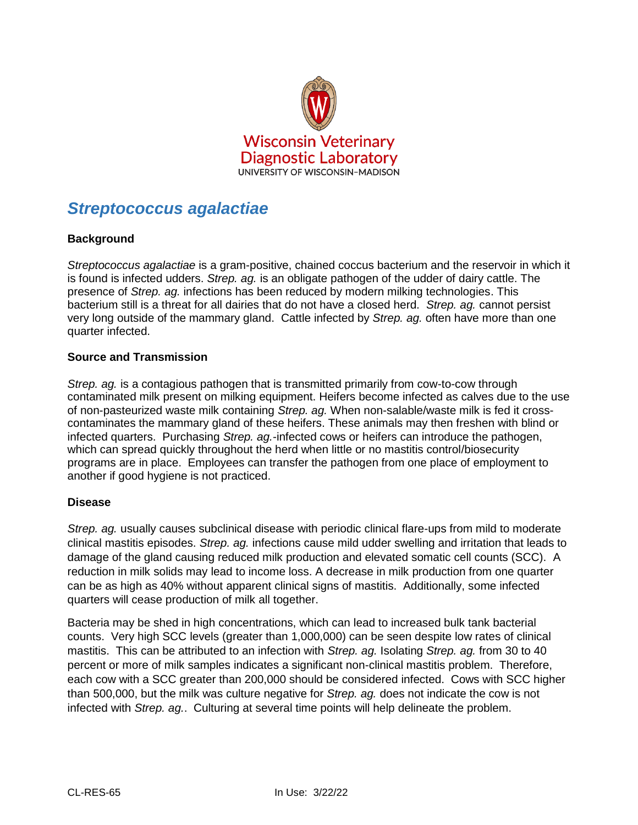

# *Streptococcus agalactiae*

## **Background**

*Streptococcus agalactiae* is a gram-positive, chained coccus bacterium and the reservoir in which it is found is infected udders. *Strep. ag.* is an obligate pathogen of the udder of dairy cattle. The presence of *Strep. ag.* infections has been reduced by modern milking technologies. This bacterium still is a threat for all dairies that do not have a closed herd. *Strep. ag.* cannot persist very long outside of the mammary gland. Cattle infected by *Strep. ag.* often have more than one quarter infected.

### **Source and Transmission**

*Strep. ag.* is a contagious pathogen that is transmitted primarily from cow-to-cow through contaminated milk present on milking equipment. Heifers become infected as calves due to the use of non-pasteurized waste milk containing *Strep. ag.* When non-salable/waste milk is fed it crosscontaminates the mammary gland of these heifers. These animals may then freshen with blind or infected quarters. Purchasing *Strep. ag.*-infected cows or heifers can introduce the pathogen, which can spread quickly throughout the herd when little or no mastitis control/biosecurity programs are in place. Employees can transfer the pathogen from one place of employment to another if good hygiene is not practiced.

### **Disease**

*Strep. ag.* usually causes subclinical disease with periodic clinical flare-ups from mild to moderate clinical mastitis episodes. *Strep. ag.* infections cause mild udder swelling and irritation that leads to damage of the gland causing reduced milk production and elevated somatic cell counts (SCC). A reduction in milk solids may lead to income loss. A decrease in milk production from one quarter can be as high as 40% without apparent clinical signs of mastitis. Additionally, some infected quarters will cease production of milk all together.

Bacteria may be shed in high concentrations, which can lead to increased bulk tank bacterial counts. Very high SCC levels (greater than 1,000,000) can be seen despite low rates of clinical mastitis. This can be attributed to an infection with *Strep. ag.* Isolating *Strep. ag.* from 30 to 40 percent or more of milk samples indicates a significant non-clinical mastitis problem. Therefore, each cow with a SCC greater than 200,000 should be considered infected. Cows with SCC higher than 500,000, but the milk was culture negative for *Strep. ag.* does not indicate the cow is not infected with *Strep. ag.*. Culturing at several time points will help delineate the problem.